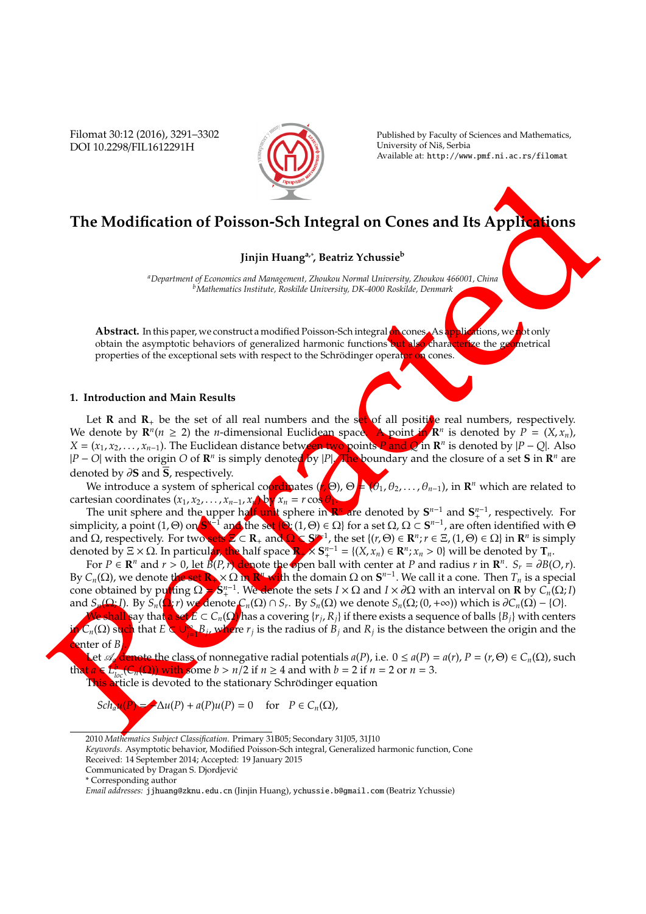Filomat 30:12 (2016), 3291–3302 DOI 10.2298/FIL1612291H



Published by Faculty of Sciences and Mathematics, University of Niš, Serbia Available at: http://www.pmf.ni.ac.rs/filomat

# **The Modification of Poisson-Sch Integral on Cones and Its Applications**

## **Jinjin Huanga,**<sup>∗</sup> **, Beatriz Ychussie<sup>b</sup>**

*<sup>a</sup>Department of Economics and Management, Zhoukou Normal University, Zhoukou 466001, China <sup>b</sup>Mathematics Institute, Roskilde University, DK-4000 Roskilde, Denmark*

Abstract. In this paper, we construct a modified Poisson-Sch integral **on** cones. As applications, we not only obtain the asymptotic behaviors of generalized harmonic functions but also characterize the geometrical properties of the exceptional sets with respect to the Schrödinger operator on cones.

## **1. Introduction and Main Results**

The Modification of Poisson-Sch Integral on Cones and Its Applications<br>
Jinjin Hamps', Battis Yduasie<br>
(alimentation and Main Results)<br>
Abstract. In this processes of generation and alimentation of the server of generatio Let **R** and  $\mathbf{R}_+$  be the set of all real numbers and the set of all positine real numbers, respectively. We denote by  $\mathbf{R}^n (n \geq 2)$  the *n*-dimensional Euclidean space. A point in  $\mathbf{R}^n$  is denoted by  $P = (X, x_n)$ ,  $X = (x_1, x_2, \ldots, x_{n-1})$ . The Euclidean distance between two points *P* and *Q* in **R**<sup>*n*</sup> is denoted by  $|P - Q|$ . Also *|P* − *O*| with the origin *O* of **R**<sup>*n*</sup> is simply denoted by |*P*|. The boundary and the closure of a set **S** in **R**<sup>*n*</sup> are denoted by ∂**S** and **S**, respectively.

We introduce a system of spherical coordinates (*r*, Θ), Θ = (θ1, θ2, . . . , θ*n*−1), in **R** *<sup>n</sup>* which are related to cartesian coordinates  $(x_1, x_2, \ldots, x_{n-1}, x_n)$  by  $x_n = r \cos \theta_1$ .

The unit sphere and the upper half unit sphere in **R**<sup>*n*</sup> are denoted by S<sup>*n*−1</sup> and S<sup>*n*−1</sup>, respectively. For simplicity, a point (1, Θ) on  $S^{h-1}$  and the set  $\{Q: (1, \Theta) \in \Omega\}$  for a set  $\Omega$ ,  $\Omega \subset S^{n-1}$ , are often identified with  $\Theta$ and  $\Omega$ , respectively. For two sets  $\Xi \subset \mathbb{R}_+$  and  $\Omega \subset \mathbb{S}^{n-1}$ , the set  $\{(r, \Theta) \in \mathbb{R}^n : r \in \Xi, (1, \Theta) \in \Omega\}$  in  $\mathbb{R}^n$  is simply denoted by  $\Xi \times \Omega$ . In particular, the half space  $\mathbb{R}_+ \times \mathbb{S}^{n-1} = \{(X, x_n) \in \mathbb{R}^n : x_n > 0\}$  will be denoted by  $\mathbb{T}_n$ .

For  $P \in \mathbb{R}^n$  and  $r > 0$ , let  $B(P, r)$  denote the open ball with center at *P* and radius *r* in  $\mathbb{R}^n$ .  $S_r = \partial B(O, r)$ . By  $C_n(\Omega)$ , we denote the set  $\mathbf{R}_n \times \Omega$  in  $\mathbf{R}^n$  with the domain  $\Omega$  on  $\mathbf{S}^{n-1}$ . We call it a cone. Then  $T_n$  is a special cone obtained by putting  $\Omega = S^{n-1}$ . We denote the sets  $I \times \Omega$  and  $I \times \partial \Omega$  with an interval on **R** by  $C_n(\Omega; I)$ and  $S_n(\Omega; I)$ . By  $S_n(\Omega; r)$  we denote  $C_n(\Omega) \cap S_r$ . By  $S_n(\Omega)$  we denote  $S_n(\Omega; (0, +\infty))$  which is  $\partial C_n(\Omega) - \{O\}$ .

We shall say that a set *E* ⊂ *Cn*(Ω) has a covering {*r<sup>j</sup>* , *Rj*} if there exists a sequence of balls {*Bj*} with centers *in C*<sub>*n*</sub>(Ω) such that *E* ⊂ ∪<sub>*j*-1</sub>*B*<sub>*j*</sub>, where *r*<sub>*j*</sub> is the radius of *B*<sub>*j*</sub> and *R*<sub>*j*</sub> is the distance between the origin and the center of *B<sup>j</sup>* .

Let A*<sup>a</sup>* denote the class of nonnegative radial potentials *a*(*P*), i.e. 0 ≤ *a*(*P*) = *a*(*r*), *P* = (*r*, Θ) ∈ *Cn*(Ω), such that  $a \in L_{loc}^b(C_n(\Omega))$  with some  $b > n/2$  if  $n \ge 4$  and with  $b = 2$  if  $n = 2$  or  $n = 3$ .

This article is devoted to the stationary Schrödinger equation

$$
Sch_{a}\mathbf{u}(P) = \Delta u(P) + a(P)u(P) = 0 \quad \text{for} \quad P \in C_n(\Omega),
$$

*Keywords*. Asymptotic behavior, Modified Poisson-Sch integral, Generalized harmonic function, Cone

<sup>2010</sup> *Mathematics Subject Classification*. Primary 31B05; Secondary 31J05, 31J10

Received: 14 September 2014; Accepted: 19 January 2015

Communicated by Dragan S. Djordjevic´

<sup>\*</sup> Corresponding author

*Email addresses:* jjhuang@zknu.edu.cn (Jinjin Huang), ychussie.b@gmail.com (Beatriz Ychussie)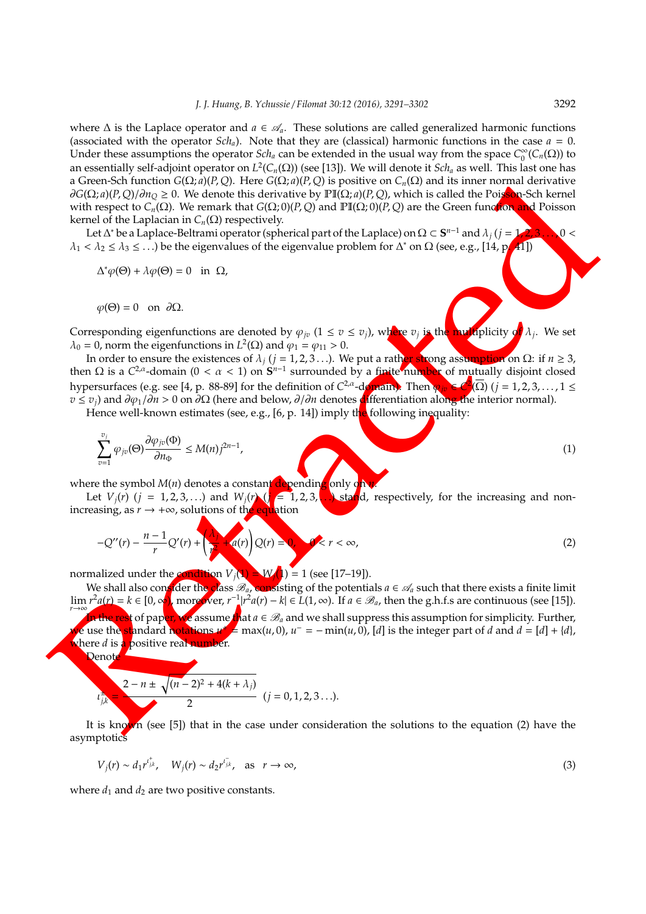where  $\Delta$  is the Laplace operator and  $a \in \mathcal{A}_a$ . These solutions are called generalized harmonic functions (associated with the operator  $Sch_a$ ). Note that they are (classical) harmonic functions in the case  $a = 0$ . Under these assumptions the operator  $Sch_a$  can be extended in the usual way from the space  $C_0^{\infty}$  $\int_0^\infty$  ( $C_n(\Omega)$ ) to an essentially self-adjoint operator on *L* 2 (*Cn*(Ω)) (see [13]). We will denote it *Sch<sup>a</sup>* as well. This last one has a Green-Sch function *G*(Ω; *a*)(*P*, *Q*). Here *G*(Ω; *a*)(*P*, *Q*) is positive on *Cn*(Ω) and its inner normal derivative  $\partial G(\Omega; a)(P, Q)/\partial n_Q \geq 0$ . We denote this derivative by  $\text{PI}(\Omega; a)(P, Q)$ , which is called the Poisson-Sch kernel with respect to *Cn*(Ω). We remark that *G*(Ω; 0)(*P*, *Q*) and PI(Ω; 0)(*P*, *Q*) are the Green function and Poisson kernel of the Laplacian in  $C_n$ (Ω) respectively.

Let ∆\* be a Laplace-Beltrami operator (spherical part of the Laplace) on Ω ⊂  $\mathbf{S}^{n-1}$  and  $\lambda_j$  ( $j = 1, 2, 3, ...$  0 <  $\lambda_1 < \lambda_2 \leq \lambda_3 \leq ...$ ) be the eigenvalues of the eigenvalue problem for  $\Delta^*$  on  $\Omega$  (see, e.g., [14, p.41])

$$
\Delta^* \varphi(\Theta) + \lambda \varphi(\Theta) = 0 \quad \text{in} \ \Omega,
$$

$$
\varphi(\Theta) = 0
$$
 on  $\partial\Omega$ .

Corresponding eigenfunctions are denoted by  $\varphi_{jv}$  (1  $\leq$  *v*  $\leq$  *v*<sub>*j*</sub>), where *v<sub>j</sub>* is the multiplicity of  $\lambda_j$ . We set  $\lambda_0 = 0$ , norm the eigenfunctions in  $L^2(\Omega)$  and  $\varphi_1 = \varphi_{11} > 0$ .

In order to ensure the existences of λ*<sup>j</sup>* (*j* = 1, 2, 3 . . .). We put a rather strong assumption on Ω: if *n* ≥ 3, then Ω is a  $C^{2,\alpha}$ -domain (0 <  $\alpha$  < 1) on  $S^{n-1}$  surrounded by a finite number of mutually disjoint closed hypersurfaces (e.g. see [4, p. 88-89] for the definition of *C*<sup>2,α</sup>-d**omain).** Then  $\phi_{jv}$  ∈  $\mathcal{C}^2(\overline{\Omega})$  (*j* = 1,2,3,...,1 ≤ *v* ≤ *v*<sub>*j*</sub>) and ∂ $\varphi_1$ /∂*n* > 0 on ∂Ω (here and below, ∂/∂*n* denotes **di**fferentiation along the interior normal).

Hence well-known estimates (see, e.g.,  $[6, p. 14]$ ) imply the following inequality:

$$
\sum_{v=1}^{v_j} \varphi_{jv}(\Theta) \frac{\partial \varphi_{jv}(\Phi)}{\partial n_{\Phi}} \le M(n) j^{2n-1},\tag{1}
$$

where the symbol *M*(*n*) denotes a constant depending only on

Let  $V_i(r)$  ( $j = 1, 2, 3, ...$ ) and  $W_i(r)$  ( $j = 1, 2, 3, ...$ ) stand, respectively, for the increasing and nonincreasing, as  $r \to +\infty$ , solutions of the equation

$$
-Q''(r) - \frac{n-1}{r}Q'(r) + \left(\frac{\lambda_1}{r} + q(r)\right)Q(r) = 0, \quad 0 < r < \infty,
$$
\n(2)

normalized under the condition  $V_i(\mathbf{1}) = W_i(\mathbf{1}) = 1$  (see [17–19]).

a Concert of the metric Gale of the Clock of the Clock of the Clock of the metric of the metric of the metric of the metric of the metric of the metric of the clock of the metric of the metric of the metric of the metric We shall also consider the class  $\mathcal{B}_a$ , consisting of the potentials  $a \in \mathcal{A}_a$  such that there exists a finite limit  $\lim_{r\to\infty} r^2 a(r) = k \in [0, ∞]$ , moreover,  $r^{-1} | r^2 a(r) - k | \in L(1, ∞)$ . If  $a \in \mathcal{B}_a$ , then the g.h.f.s are continuous (see [15]). **In the rest of paper, we assume that**  $a \in \mathcal{B}_a$  and we shall suppress this assumption for simplicity. Further, we use the standard notations  $u^* = \max(u, 0)$ ,  $u^- = -\min(u, 0)$ , [d] is the integer part of *d* and  $d = [d] + \{d\}$ , where *d* is a positive real number.

Denot

$$
t_{j,k}^2 = \frac{2 - n \pm \sqrt{(n-2)^2 + 4(k+\lambda_j)}}{2} \quad (j = 0, 1, 2, 3 \ldots).
$$

It is known (see [5]) that in the case under consideration the solutions to the equation (2) have the asymptotics

$$
V_j(r) \sim d_1 r^{i_{jk}^+}, \quad W_j(r) \sim d_2 r^{i_{jk}^-}, \quad \text{as} \quad r \to \infty,
$$
\n
$$
(3)
$$

where  $d_1$  and  $d_2$  are two positive constants.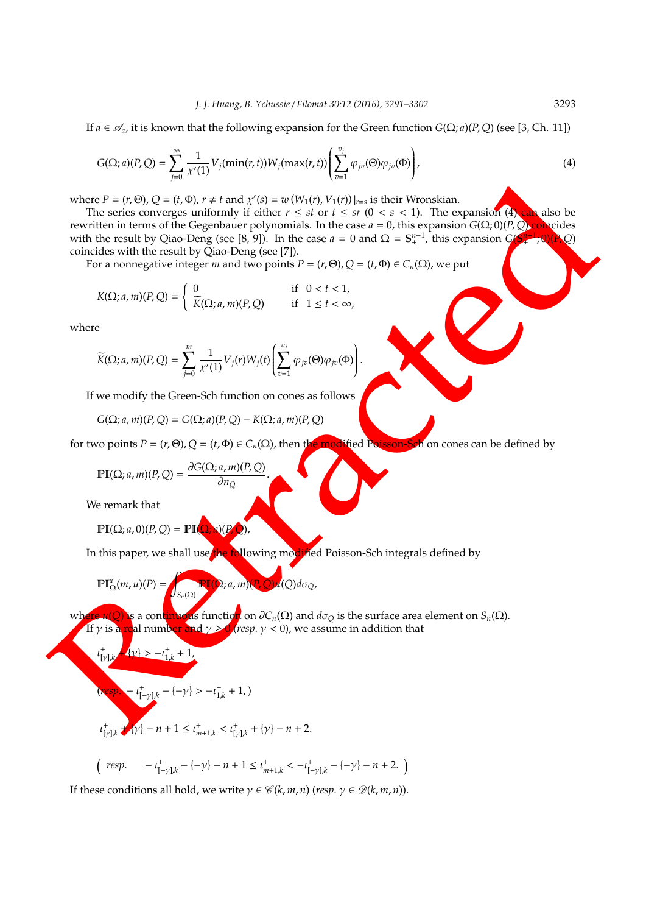If  $a \in \mathcal{A}_a$ , it is known that the following expansion for the Green function  $G(\Omega; a)(P, Q)$  (see [3, Ch. 11])

$$
G(\Omega; a)(P, Q) = \sum_{j=0}^{\infty} \frac{1}{\chi'(1)} V_j(\min(r, t)) W_j(\max(r, t)) \left( \sum_{v=1}^{v_j} \varphi_{jv}(\Theta) \varphi_{jv}(\Phi) \right), \tag{4}
$$

where  $P = (r, \Theta)$ ,  $Q = (t, \Phi)$ ,  $r \neq t$  and  $\chi'(s) = w(W_1(r), V_1(r))|_{r=s}$  is their Wronskian.

where  $P = (P, \Theta)$ ,  $Q = \begin{bmatrix} (0, 0), 0 & 0 \\ (0, 0), 0 & 0 \\ (0, 0), 0 & 0 \\ (0, 0), 0 & 0 \\ (0, 0), 0 & 0 \\ (0, 0), 0 & 0 \\ (0, 0), 0 & 0 \\ (0, 0), 0 & 0 \\ (0, 0), 0 & 0 \\ (0, 0), 0 & 0 \\ (0, 0), 0 & 0 \\ (0, 0), 0 & 0 \\ (0, 0), 0 & 0 \\ (0, 0), 0 & 0 \\ (0, 0), 0 & 0 \\ (0, 0), 0 & 0 \\ (0$ The series converges uniformly if either  $r \leq st$  or  $t \leq sr$  ( $0 < s < 1$ ). The expansion (4) can also be rewritten in terms of the Gegenbauer polynomials. In the case *a* = 0, this expansion *G*(Ω; 0)(*P*, *Q*) coincides *n*−1 with the result by Qiao-Deng (see [8, 9]). In the case  $a = 0$  and  $\Omega = S^{n-1}$ , this expansion  $G(S)$ ; 0)(*P*, *Q*) coincides with the result by Qiao-Deng (see [7]).

For a nonnegative integer *m* and two points  $P = (r, \Theta)$ ,  $Q = (t, \Phi) \in C_n(\Omega)$ , we put

$$
K(\Omega; a, m)(P, Q) = \begin{cases} 0 & \text{if } 0 < t < 1, \\ \widetilde{K}(\Omega; a, m)(P, Q) & \text{if } 1 \leq t < \infty, \end{cases}
$$

where

$$
\widetilde{K}(\Omega; a, m)(P, Q) = \sum_{j=0}^m \frac{1}{\chi'(1)} V_j(r) W_j(t) \left( \sum_{v=1}^{v_j} \varphi_{jv}(\Theta) \varphi_{jv}(\Phi) \right).
$$

If we modify the Green-Sch function on cones as follows

$$
G(\Omega; a, m)(P, Q) = G(\Omega; a)(P, Q) - K(\Omega; a, m)(P, Q)
$$

for two points  $P = (r, \Theta)$ ,  $Q = (t, \Phi) \in C_n(\Omega)$ , then the modified Poisson-Sch on cones can be defined by

$$
\mathbb{PI}(\Omega; a, m)(P, Q) = \frac{\partial G(\Omega; a, m)(P, Q)}{\partial n_Q}
$$

We remark that

+

 $PI(Q; a, 0)(P, Q) = PI(Q)$ 

In this paper, we shall use the following modified Poisson-Sch integrals defined by

.

$$
\mathbb{PI}^a_{\Omega}(m, u)(P) = \int_{S_n(\Omega)} \mathbb{PI}(\Omega; a, m)(P, Q) u(Q) d\sigma_Q,
$$

where *u*(*Q*) is a continuous function on ∂*Cn*(Ω) and *d*σ*<sup>Q</sup>* is the surface area element on *Sn*(Ω). If  $\gamma$  is a real number and  $\gamma \geq 0$  *(resp.*  $\gamma < 0$ ), we assume in addition that

$$
t_{[\gamma]\downarrow k}^+ \xrightarrow{4\gamma} - t_{1,k}^+ + 1,
$$
\n
$$
(resp. \t t_{[-\gamma]\downarrow k}^+ - \{-\gamma\} > -t_{1,k}^+ + 1, )
$$

$$
\iota_{[\gamma],k}^+ \star \{\gamma\} - n + 1 \leq \iota_{m+1,k}^+ < \iota_{[\gamma],k}^+ + \{\gamma\} - n + 2.
$$

$$
\left(\begin{array}{cc} resp. & -\iota^+_{[-\gamma],k} -\{-\gamma\} - n + 1 \leq \iota^+_{m+1,k} < -\iota^+_{[-\gamma],k} -\{-\gamma\} - n + 2. \end{array}\right)
$$

If these conditions all hold, we write  $\gamma \in \mathcal{C}(k, m, n)$  (*resp.*  $\gamma \in \mathcal{D}(k, m, n)$ ).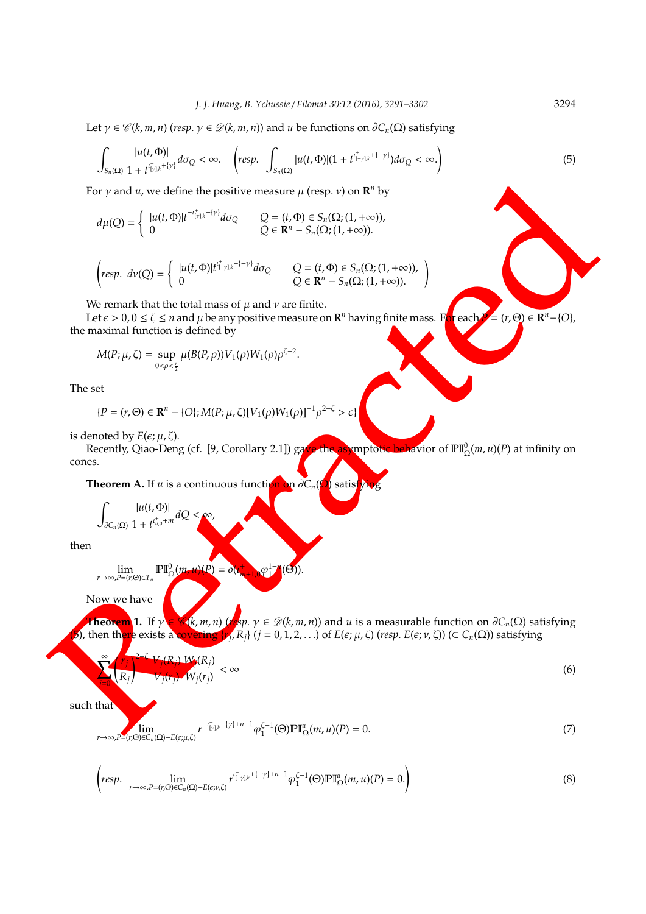Let  $\gamma \in \mathcal{C}(k, m, n)$  (*resp.*  $\gamma \in \mathcal{D}(k, m, n)$ ) and *u* be functions on  $\partial C_n(\Omega)$  satisfying

$$
\int_{S_n(\Omega)}\frac{|u(t,\Phi)|}{1+t^{i_{\Gamma/k}^++[\gamma]}}d\sigma_Q<\infty.\quad \left(\text{resp.}\ \int_{S_n(\Omega)}|u(t,\Phi)|(1+t^{i_{\Gamma+\gamma/k}^++[-\gamma]})d\sigma_Q<\infty.\right)
$$

For  $\gamma$  and  $u$ , we define the positive measure  $\mu$  (resp.  $v$ ) on  $\mathbb{R}^n$  by

$$
d\mu(Q) = \begin{cases} |u(t, \Phi)|t^{-t_{\nu/k}^+ - \{\gamma\}} d\sigma_Q & Q = (t, \Phi) \in S_n(\Omega; (1, +\infty)), \\ 0 & Q \in \mathbf{R}^n - S_n(\Omega; (1, +\infty)). \end{cases}
$$

$$
\begin{pmatrix} resp. \ d\nu(Q) = \begin{cases} |u(t, \Phi)|t^{i_{[-\gamma]k}^+ + (-\gamma)} d\sigma_Q & Q = (t, \Phi) \in S_n(\Omega; (1, +\infty)), \\ 0 & Q \in \mathbf{R}^n - S_n(\Omega; (1, +\infty)). \end{cases} \end{pmatrix}
$$

We remark that the total mass of  $\mu$  and  $\nu$  are finite.

Let  $\epsilon > 0$ ,  $0 \le \zeta \le n$  and  $\mu$  be any positive measure on  $\mathbf{R}^n$  having finite mass. F<mark>or</mark> each  $P = (r, \Theta) \in \mathbf{R}$ *n*<sup>*n*</sup> = (*r*,  $\Theta$ ) ∈ **R**<sup>*n*</sup> -{*O*}, the maximal function is defined by

$$
M(P; \mu, \zeta) = \sup_{0 < \rho < \frac{r}{2}} \mu(B(P, \rho)) V_1(\rho) W_1(\rho) \rho^{\zeta - 2}.
$$

The set

$$
\{P=(r,\Theta)\in\mathbf{R}^n-\{O\};M(P;\mu,\zeta)[V_1(\rho)W_1(\rho)]^{-1}\rho^{2-\zeta}>\epsilon\}
$$

is denoted by  $E(\epsilon; \mu, \zeta)$ .

Recently, Qiao-Deng (cf. [9, Corollary 2.1]) gave the asymptotic behavior of  $\mathbb{PI}^0_\Omega(m,u)(P)$  at infinity on cones.

**Theorem A.** If *u* is a continuous function on  $\partial C_n(\Omega)$  satisti

$$
\int_{\partial C_n(\Omega)}\frac{|u(t,\Phi)|}{1+t^{t_{n,0}^+ +m}}dQ<\infty,
$$

then

lim *r*→∞,*P*=(*r*,Θ)∈*T<sup>n</sup>*  $\mathbb{P}\mathbb{I}^0_\Omega$  $u(P) = o($ + *<sup>m</sup>*+1,0ϕ 1−*n* 1  $(\Theta)).$ 

Now we have

For y and v, we define the positive measure  $\mu$  (rs.p. s) on  $R^2$  by<br>  $dy(2) = \begin{cases} b(2,0)R^{2} + e^{-1/2}dx_2 & Q = (R-5)(62(1,1+\infty)) \\ 0 & (16) \leq R \leq 5, (21)(1,1+\infty) \end{cases}$ <br>  $\begin{cases} \text{Im}y, \ \ \frac{dx}{dx} = \frac{1}{2} \left( \frac{dx}{dx} + \frac{dx}{dx} \right) \left( \frac{dx}{dx} + \$ **Theorem** 1. If  $\gamma \in \mathscr{C}(k, m, n)$  (*resp.*  $\gamma \in \mathscr{D}(k, m, n)$ ) and *u* is a measurable function on  $\partial C_n(\Omega)$  satisfying (5), then th<mark>ere</mark> exists a covering  $\{r_j, R_j\}$  ( $j = 0, 1, 2, ...$ ) of  $E(\epsilon; \mu, \zeta)$  (*resp.*  $E(\epsilon; \nu, \zeta)$ ) ( $\subset C_n(\Omega)$ ) satisfying

$$
\frac{\partial^2 \zeta}{V_j(r_j)} \frac{V_j(R_j)}{W_j(r_j)} < \infty \tag{6}
$$

such that

 $\sum_{i=1}^{\infty}$ 

1 *rj Rj*

*j*=0

$$
\lim_{r \to \infty, P \equiv (r,\Theta) \in C_n(\Omega) - E(\epsilon;\mu,\zeta)} r^{-\iota_{[\gamma]\cdot k}^{\mathfrak{r}} - \{\gamma\} + n - 1} \varphi_1^{\zeta - 1}(\Theta) \mathbb{P} \mathbb{I}_{\Omega}^a(m,u)(P) = 0.
$$
\n
$$
(7)
$$

$$
\left(\text{resp. } \lim_{r \to \infty, P = (r,\Theta) \in C_n(\Omega) - E(\epsilon; \nu, \zeta)} r^{t_{[-\gamma]k}^+ + (-\gamma) + n - 1} \varphi_1^{\zeta - 1}(\Theta) \mathbb{P} \mathbb{I}_{\Omega}^a(m, u)(P) = 0. \right) \tag{8}
$$

(5)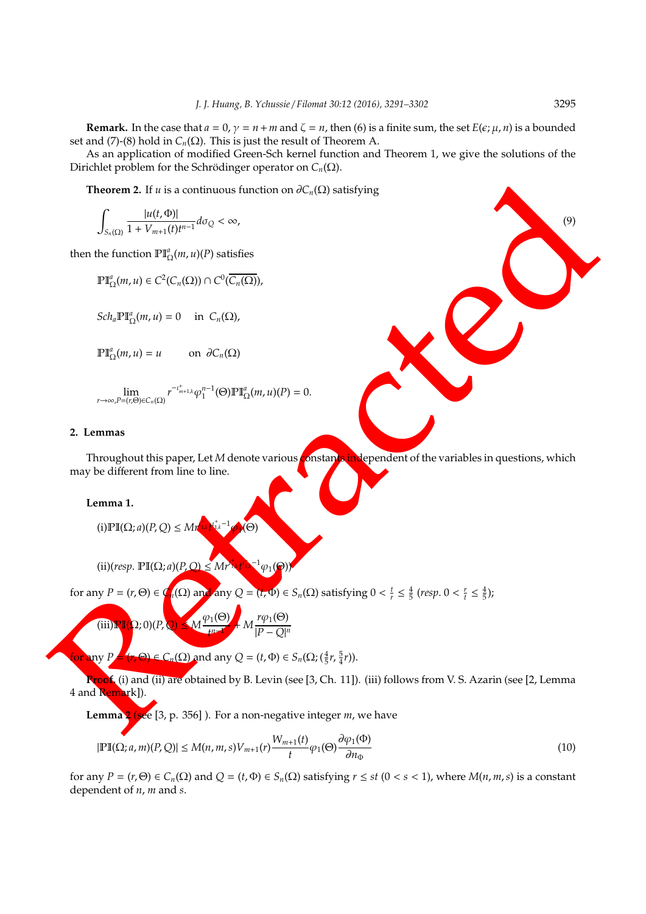**Remark.** In the case that  $a = 0$ ,  $\gamma = n + m$  and  $\zeta = n$ , then (6) is a finite sum, the set  $E(\epsilon; \mu, n)$  is a bounded set and (7)-(8) hold in  $C_n(\Omega)$ . This is just the result of Theorem A.

As an application of modified Green-Sch kernel function and Theorem 1, we give the solutions of the Dirichlet problem for the Schrödinger operator on  $C_n(\Omega)$ .

**Theorem 2.** If *u* is a continuous function on  $\partial C_n(\Omega)$  satisfying

$$
\int_{S_n(\Omega)} \frac{|u(t, \Phi)|}{1 + V_{m+1}(t)t^{n-1}} d\sigma_{\mathcal{Q}} < \infty,\tag{9}
$$

then the function  $\mathbb{PI}^a_\Omega(m, u)(P)$  satisfies

 $\mathbb{P}\mathbb{I}_{\Omega}^a(m, u) \in C^2(C_n(\Omega)) \cap C^0(\overline{C_n(\Omega)}),$ 

 $Sch_a \mathbb{P} \mathbb{I}_{\Omega}^a(m, u) = 0$  in  $C_n(\Omega)$ ,

 $\mathbb{P}\mathbb{I}_{\Omega}^{\alpha}(m, u) = u$  on  $\partial C_n(\Omega)$ 

$$
\lim_{r\rightarrow\infty,P=(r,\Theta)\in C_n(\Omega)}r^{-\iota_{m+1,k}^+}\varphi_1^{n-1}(\Theta)\mathbb{P}\mathbb{I}_{\Omega}^a(m,u)(P)=0.
$$

### **2. Lemmas**

Throughout this paper, Let *M* denote various **constants independent** of the variables in questions, which may be different from line to line.

#### **Lemma 1.**

$$
(i) \mathbb{PI}(\Omega; a)(P, Q) \le Mr^{\frac{1}{1}k} \mathbb{N}^{+}_{k}^{-1} \mathbb{P}(\Theta)
$$

 $(ii)(resp.  $\mathbb{P}\mathbb{I}(\Omega; a)(P, Q) \leq Mr$$ + <sup>1</sup>,*<sup>k</sup> t* ι − 1,*k*  $^{-1}\varphi_1(\Theta)$ 

for any 
$$
P = (r, \Theta) \in C_n(\Omega)
$$
 and any  $Q = (r, \Phi) \in S_n(\Omega)$  satisfying  $0 < \frac{t}{r} \leq \frac{4}{5}$  (resp.  $0 < \frac{r}{t} \leq \frac{4}{5}$ );

(iii) 
$$
\mathbb{R} \mathbb{I}(\Omega; 0)(P, Q) \leq M \frac{\varphi_1(\Theta)}{t^{n-1}} + M \frac{r\varphi_1(\Theta)}{|P - Q|^n}
$$

for any  $P = (r, \Theta) \in C_n(\Omega)$  and any  $Q = (t, \Phi) \in S_n(\Omega; (\frac{4}{5}r, \frac{5}{4}r)).$ 

Theorem 2. If  $u$  is a continuous function on  $\partial C_n(\Omega)$  subsfying<br>  $\int_{v_0(\Omega)} \frac{\ln(t, \Omega)}{1 + V_{\{n\leq n\}\{n\}}}\,dv_0 < \infty,$ <br>
then the function  $\mathbb{P}^n_{\Omega_0}(m, u) \in C^2(C_n(\Omega))$ .  $\cap C^2(C_n(\Omega)),$ <br>  $\mathbb{P}^n_{\{n\}}(m, u) \in C^2(C_n(\Omega)) \cap C^2(C_n(\Omega)),$ **Proof.** (i) and (ii) are obtained by B. Levin (see [3, Ch. 11]). (iii) follows from V. S. Azarin (see [2, Lemma 4 and Remark]).

**Lemma 2** (see [3, p. 356] ). For a non-negative integer *m*, we have

$$
|\mathbb{PI}(\Omega; a, m)(P, Q)| \le M(n, m, s)V_{m+1}(r)\frac{W_{m+1}(t)}{t}\varphi_1(\Theta)\frac{\partial \varphi_1(\Phi)}{\partial n_{\Phi}}
$$
(10)

for any  $P = (r, \Theta) \in C_n(\Omega)$  and  $Q = (t, \Phi) \in S_n(\Omega)$  satisfying  $r \le st$  ( $0 < s < 1$ ), where  $M(n, m, s)$  is a constant dependent of *n*, *m* and *s*.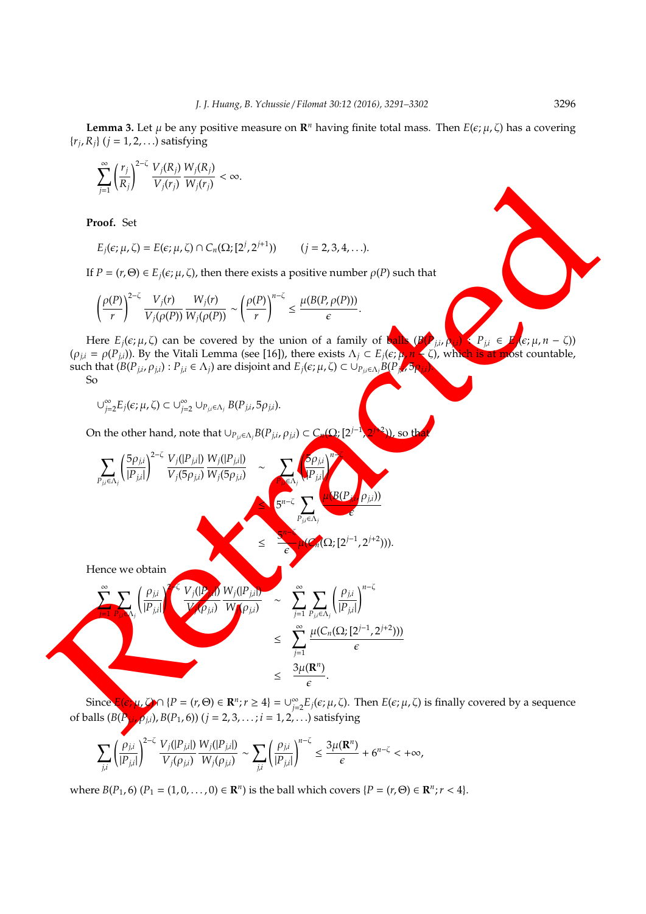**Lemma 3.** Let  $\mu$  be any positive measure on  $\mathbb{R}^n$  having finite total mass. Then  $E(\epsilon; \mu, \zeta)$  has a covering  $\{r_j, R_j\}$  ( $j = 1, 2, \ldots$ ) satisfying

$$
\sum_{j=1}^{\infty} \left(\frac{r_j}{R_j}\right)^{2-\zeta} \frac{V_j(R_j)}{V_j(r_j)} \frac{W_j(R_j)}{W_j(r_j)} < \infty.
$$

**Proof.** Set

$$
E_j(\epsilon;\mu,\zeta)=E(\epsilon;\mu,\zeta)\cap C_n(\Omega;[2^j,2^{j+1}))\qquad (j=2,3,4,\ldots).
$$

If  $P = (r, \Theta) \in E_i(\epsilon; \mu, \zeta)$ , then there exists a positive number  $\rho(P)$  such that

$$
\left(\frac{\rho(P)}{r}\right)^{2-\zeta}\frac{V_j(r)}{V_j(\rho(P))}\frac{W_j(r)}{W_j(\rho(P))}\sim \left(\frac{\rho(P)}{r}\right)^{n-\zeta}\leq \frac{\mu(B(P,\rho(P)))}{\epsilon}.
$$

Here  $E_j(\epsilon; \mu, \zeta)$  can be covered by the union of a family of balls  $(B(\mathbf{P}_{j,i}, \rho_{j,i}) \leq P_{j,i} \in \mathbf{F}_{j}(\epsilon; \mu, n - \zeta))$  $(\rho_{j,i} = \rho(P_{j,i})$ ). By the Vitali Lemma (see [16]), there exists  $\Lambda_j \subset E_j(\epsilon; \mu, n - \zeta)$ , which is at most countable, such that  $(B(P_{j,i}, \rho_{j,i}) : P_{j,i} \in \Lambda_j)$  are disjoint and  $E_j(\epsilon; \mu, \zeta) \subset \cup_{P_{j,i} \in \Lambda_j} B(P_{j,i}, \delta_{\Omega_{j,i}})$ . So

$$
\cup_{j=2}^{\infty} E_j(\epsilon;\mu,\zeta) \subset \cup_{j=2}^{\infty} \cup_{P_{j,i} \in \Lambda_j} B(P_{j,i}, 5\rho_{j,i}).
$$

On the other hand, note that  $\cup_{P_{j,i}\in \Lambda_j}B(P_{j,i},\rho_{j,i})\subset C_n(\Omega_i[2^{j-1}])$  $\boldsymbol{\lambda}$ *j*+2 , so th

Proof. Set  
\n
$$
E_j(c; \mu, \zeta) = E(c; \mu, \zeta) \cap C_n(\Omega; [2^j, 2^{j+1}]))
$$
\n(j = 2, 3, 4, ...).  
\nIf *P* = (r, Θ) ∈ E\_j(c; \mu, \zeta), then there exists a positive number *ρ*(*P*) such that  
\n
$$
\left(\frac{\rho(P)}{r}\right)^{2-\zeta} \frac{V_j(r)}{V_j(\rho(P))} \frac{W_j(r)}{W_j(\rho(P))} \sim \left(\frac{\rho(P)}{r}\right)^{n-\zeta} \leq \frac{\mu(B(P, \rho(P)))}{\epsilon}.
$$
\nHere *E<sub>j</sub>*(*ε*; \mu, Ω) can be covered by the union of a family of  $\zeta$ .  
\n(θ)<sub>μ</sub> = *P*(*P*<sub>μ</sub>)). By the Vital Lemma (see [16]), there exists  $\lambda_j \subset E_j(c; \mu, \zeta)$  with a solution of a family of  $\zeta$ .  
\nSo  
\n
$$
C_{\mu_{\alpha}z}^{0,\zeta}E_j(c; \mu, \zeta) \subset C_{\mu_{\alpha}z}^{0,\zeta}U_{\mu_{\beta}z}(\zeta, B(P_{j\mu}, \zeta, \zeta))
$$
\nOn the other hand, note that  $U_{P_{\mu}\omega,\lambda_j}B(P_{\mu,\mu}\rho_{\mu}) \subset C_r(\Omega; [2^{j-1}, 2^{j+2}]))$ , so the  
\n
$$
\sum_{P_{\mu}\omega,\lambda_j} \frac{\left(5\rho_{\mu}\right)^{2-\zeta}V_j(\zeta, B(\mu_{\mu})\right)W_j(\zeta, \mu)}{V_j(5\rho_{\mu})} \sim \sum_{\substack{\sigma \in \zeta \\ \sigma \in \zeta}} \sum_{P_{\mu}\omega,\lambda_j} \frac{\left(6\rho_{\mu}\right)^{2-\zeta}V_{\mu,\zeta}(\zeta, B(P_{\mu,\mu})\right)W_{\mu}(\zeta, \mu)}{\zeta} \approx \sum_{\substack{\sigma \in \zeta \\ \tau_1 \to \tau_2}} \sum_{\mu \in \zeta} \left(\frac{\rho_{\mu}}{\mu}\right)^{n-\zeta}V_{\mu}(\zeta, \zeta) \frac{W_j(\zeta, \mu)}{W_j(\
$$

 $Since E(\epsilon; \mu, Q) \cap \{P = (r, \Theta) \in \mathbb{R}^n; r \geq 4\} = \cup_{i=1}^{\infty}$  $\sum\limits_{j=2}^{\infty} E_j(\epsilon;\mu,\zeta) .$  Then  $E(\epsilon;\mu,\zeta)$  is finally covered by a sequence of balls (*B*(*Pj*,*<sup>i</sup>* , ρ*j*,*i*), *B*(*P*1, 6)) (*j* = 2, 3, . . . ; *i* = 1, 2, . . .) satisfying

$$
\sum_{j,i}\left(\frac{\rho_{j,i}}{|P_{j,i}|}\right)^{2-\zeta}\frac{V_j(|P_{j,i}|)}{V_j(\rho_{j,i})}\frac{W_j(|P_{j,i}|)}{W_j(\rho_{j,i})}\sim \sum_{j,i}\left(\frac{\rho_{j,i}}{|P_{j,i}|}\right)^{n-\zeta}\leq \frac{3\mu(\mathbf{R}^n)}{\epsilon}+6^{n-\zeta}<+\infty,
$$

where  $B(P_1, 6)$   $(P_1 = (1, 0, \ldots, 0) \in \mathbb{R}^n$  is the ball which covers  $\{P = (r, \Theta) \in \mathbb{R}^n; r < 4\}$ .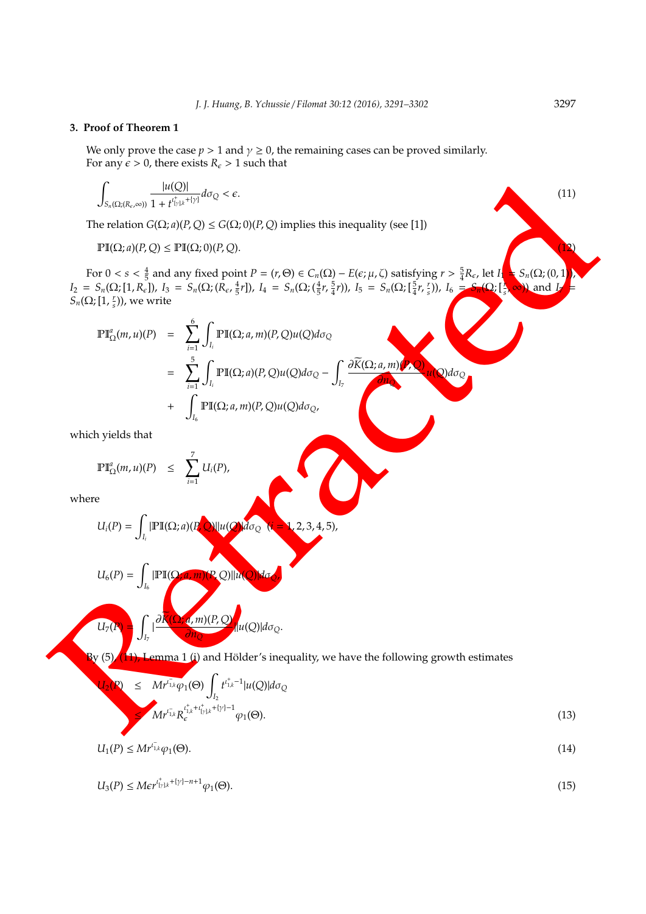## **3. Proof of Theorem 1**

We only prove the case  $p > 1$  and  $\gamma \ge 0$ , the remaining cases can be proved similarly. For any  $\epsilon > 0$ , there exists  $R_{\epsilon} > 1$  such that

$$
\int_{S_n(\Omega;\langle R_\varepsilon,\infty\rangle)}\frac{|u(Q)|}{1+t^{t_{\{y\},k}^++\{y\}}}\,d\sigma_Q<\varepsilon.\tag{11}
$$

The relation  $G(\Omega; a)(P, Q) \leq G(\Omega; 0)(P, Q)$  implies this inequality (see [1])

$$
\mathbb{PI}(\Omega; a)(P, Q) \le \mathbb{PI}(\Omega; 0)(P, Q). \tag{12}
$$

For  $0 < s < \frac{4}{5}$  and any fixed point  $P = (r, \Theta) \in C_n(\Omega) - E(\epsilon; \mu, \zeta)$  satisfying  $r > \frac{5}{4}R_{\epsilon}$ , let  $I_1 = S_n(\Omega; (0, 1))$ ,  $I_2 = S_n(\Omega; [1, R_{\epsilon}]), I_3 = S_n(\Omega; (R_{\epsilon}, \frac{4}{5}r]), I_4 = S_n(\Omega; (\frac{4}{5}r, \frac{5}{4}r)), I_5 = S_n(\Omega; [\frac{5}{4}r, \frac{r}{s}]), I_6 = S_n(\Omega; [\frac{5}{4}r, \frac{r}{s}]),$  $\{Q_i\}_{s}^{\Lambda}$ **∞**)) and *I*  $S_n(\Omega; [1, \frac{r}{s})),$  we write

$$
\int_{S_{\delta}(\Omega; (R_{\epsilon}, \omega))} \frac{|u(Q)|}{1 + t^{\int_{\delta}^{+} (x + t)^{2}} d\sigma_{Q} < \epsilon. \tag{11}
$$
\nThe relation  $G(\Omega; a)(P,Q) \le G(\Omega; 0)(P,Q)$  implies this inequality (see [1])\n
$$
\text{PI}(\Omega; a)(P,Q) \le \text{PI}(\Omega; 0)(P,Q).
$$
\nFor  $0 < s < \frac{4}{5}$  and any fixed point  $P = (r, \Theta) \in C_{n}(\Omega) - E(\epsilon; \mu, \zeta)$  satisfying  $r > \frac{5}{4}R_{\epsilon}$ , let  $I$ \n
$$
I_{2} = S_{n}(\Omega; [1, R_{\epsilon}]), I_{3} = S_{n}(\Omega; (R_{\epsilon}, \frac{1}{2}r]), I_{4} = S_{n}(\Omega; (\frac{5}{5}r, \frac{5}{4}r)), I_{5} = S_{n}(\Omega; [\frac{5}{4}r, \frac{5}{4}r]), I_{6} = S_{n}(\Omega; [\frac{5}{4}r, \frac{5}{4}r]), I_{7} = S_{n}(\Omega; [\frac{5}{4}r, \frac{5}{4}r]), I_{8} = S_{n}(\Omega; [\frac{5}{4}r, \frac{5}{4}r]), I_{9} = S_{n}(\Omega; [\frac{5}{4}r, \frac{5}{4}r]), I_{10} = S_{n}(\Omega; [\frac{5}{4}r, \frac{5}{4}r]), I_{11} = S_{n}(\Omega; [\frac{5}{4}r, \frac{5}{4}r]), I_{12} = S_{n}(\Omega; [\frac{5}{4}r, \frac{5}{4}r]), I_{13} = S_{n}(\Omega; [\frac{5}{4}r, \frac{5}{4}r]), I_{14} = S_{n}(\Omega; [\frac{5}{4}r, \frac{5}{4}r]), I_{15} = S_{n}(\Omega; [\frac{5}{4}r, \frac{5}{4}r]), I_{16} = S_{n}(\Omega; [\frac{5}{4}r, \frac{5}{4}r]), I_{17} = S_{n}(\Omega; [\frac{5}{4}r, \frac{5}{4}r]), I_{18} = S_{n}(\Omega; [\frac{5}{4}r, \frac{5}{4}r]), I_{19} = S_{n}(\Omega; [\frac{5
$$

which yields that

$$
\mathbb{P}\mathbb{I}_{\Omega}^a(m,u)(P) \leq \sum_{i=1}^7 U_i(P),
$$

where

$$
U_i(P) = \int_{I_i} |\mathbb{PI}(\Omega; a)(P, Q)||u(Q)| d\sigma_Q \quad (i = 1, 2, 3, 4, 5),
$$

$$
U_6(P) = \int_{I_6} |\mathbb{PI}(\Omega,a,m)(P,Q)||u(Q)|d\sigma_Q,
$$

$$
U_7(P)=\int_{I_7}|\frac{\partial \overline{K}(\Omega,a,m)(P,Q)}{\partial n_Q}|u(Q)|d\sigma_Q.
$$

 $B(y(5))$  (11), Lemma 1 (i) and Hölder's inequality, we have the following growth estimates

$$
U_2(P) \leq Mr^{i_{1,k}^{-}}\varphi_1(\Theta) \int_{I_2} t^{i_{1,k}^{+}-1} |u(Q)| d\sigma_Q
$$
  
\n
$$
\leq Mr^{i_{1,k}^{-}} R_e^{i_{1,k}^{+}+i_{y/k}^{+}+|y|-1} \varphi_1(\Theta).
$$
\n(13)

$$
U_1(P) \leq M r^{l_{1,k}} \varphi_1(\Theta). \tag{14}
$$

$$
U_3(P) \leq Mer^{t_{\lfloor y \rfloor k}^+ + \lfloor y \rfloor - n + 1} \varphi_1(\Theta). \tag{15}
$$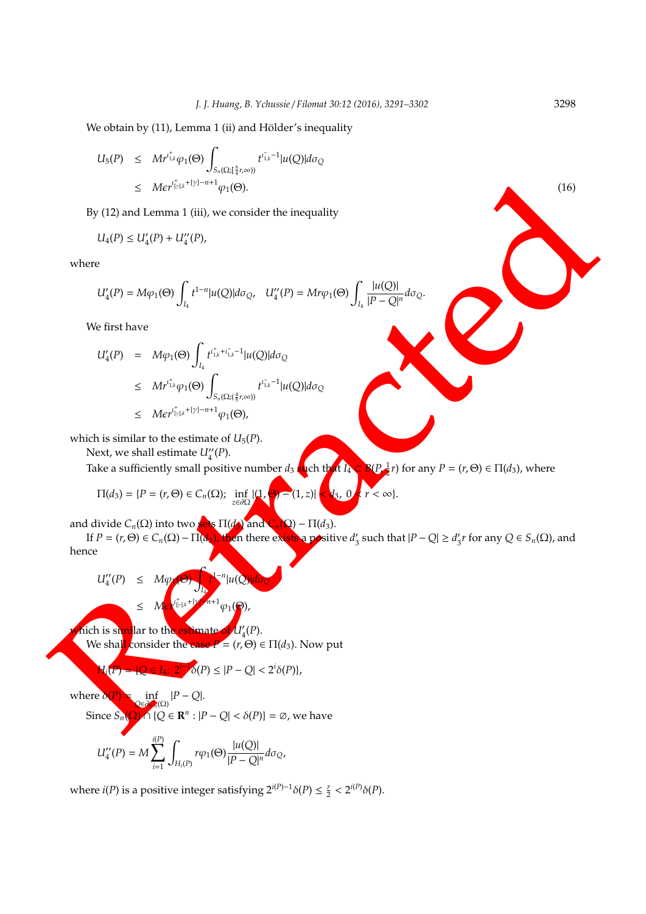We obtain by (11), Lemma 1 (ii) and Hölder's inequality

$$
U_5(P) \leq Mr^{i^+_{1,k}}\varphi_1(\Theta) \int_{S_n(\Omega;[\frac{5}{4}r,\infty))} t^{i^-_{1,k}-1} |u(Q)| d\sigma_Q
$$
  
\n
$$
\leq M \epsilon r^{i^+_{1/k} + \{\gamma\} - n + 1} \varphi_1(\Theta).
$$
\n(16)

By (12) and Lemma 1 (iii), we consider the inequality

$$
U_4(P) \le U'_4(P) + U''_4(P),
$$

where

$$
U_4'(P)=M\varphi_1(\Theta)\int_{I_4}t^{1-n}|u(Q)|d\sigma_Q,\quad U_4''(P)=Mr\varphi_1(\Theta)\int_{I_4}\frac{|u(Q)|}{|P-Q|^n}d\sigma_Q.
$$

We first have

$$
\leq Mc\gamma^{i_{1}i_{2}+i_{3}+1}_{2}i_{3}+...+ic\rho_{1}(0).
$$
\nBy (12) and Lemma 1 (iii), we consider the inequality

\n
$$
U_{4}(P) \leq U_{4}'(P) + U_{4}''(P),
$$
\nwhere

\n
$$
U_{4}'(P) = M\varphi_{1}(O) \int_{I_{1}} t^{1-s} |u(Q)| d\sigma_{Q}, U_{4}'(P) = Mr\varphi_{1}(O) \int_{I_{2}} \frac{|u(Q)|}{|P-Q|^{n}} d\sigma_{Q}.
$$
\nWe first have

\n
$$
U_{4}'(P) = M\varphi_{1}(O) \int_{I_{1}} t^{i_{3}+i_{3}-1} |u(Q)| d\sigma_{Q}
$$
\n
$$
\leq Mc\gamma^{i_{1}i_{2}+i_{3}-1} |u(Q)| d\sigma_{Q}
$$
\n
$$
\leq Mc\gamma^{i_{1}i_{3}+i_{3}-1} |u(Q)|
$$
\nwhich is similar to the estimate of

\n
$$
U_{4}'(P).
$$
\nTake a sufficiently small positive number  $d_{3}$  (c) the two

\n
$$
U_{4}'(P).
$$
\nTake a sufficiently small positive number

\n
$$
U_{4}'(P).
$$
\nand divide C<sub>n</sub>(\Omega) into two

\n
$$
U_{4}'(P) = \int_{I_{1}'} \int_{I_{2}'} \int_{I_{3}} \int_{I_{4}} \int_{I_{5}} \int_{I_{6}} \int_{I_{7}} \int_{I_{7}} \int_{I_{8}} \int_{I_{9}} \int_{I_{9}} \int_{I_{1}} \int_{I_{1}} \int_{I_{1}} \int_{I_{1}} \int_{I_{1}} \int_{I_{1}} \int_{I_{1}} \int_{I_{1}} \int_{I_{1}} \int_{I_{1}} \int_{I_{1}} \int_{I_{1}} \int_{I_{1}} \int_{I_{1}} \int_{I_{1}} \int_{I_{1}} \int_{I_{1}} \int_{I_{1}} \int_{I_{1}} \int_{I_{1}} \int_{I_{1}} \int_{I_{1}} \int_{I_{1}} \int_{I_{1}} \int_{I_{1}} \int_{I_{1}} \int_{I_{1}} \int_{I_{1}} \int_{I_{1}} \int_{I_{1
$$

which is similar to the estimate of  $U_5(P)$ .

Next, we shall estimate  $U_4''(P)$ .

Take a sufficiently small positive number  $d_3$  such that  $I_4$  $\frac{1}{2}r$ ) for any  $P = (r, \Theta) \in \Pi(d_3)$ , where

$$
\Pi(d_3)=\{P=(r,\Theta)\in C_n(\Omega); \inf_{z\in\partial\Omega}|(1,\Theta)=(1,z)|
$$

and divide  $C_n(\Omega)$  into two sets  $\Pi(d_1)$  and  $C_n(\Omega) - \Pi(d_3)$ .

If  $P = (r, \Theta) \in C_n(\Omega) - \Pi(d_3)$ , then there exists a positive  $d_3$  $J_3$  such that  $|P - Q| \ge d_3'$  $S'_3$ *r* for any  $Q \in S_n(\Omega)$ , and hence

$$
U_4''(P) \leq M \varphi \bigodot \int_{\mathbf{I}_2} f^{1-n} |u(Q)| d\sigma_Q
$$

$$
\leq M \epsilon^{\iota^+_{[\gamma]\!,k} + [\gamma^*\!-\!n+1]}\varphi_1(\Theta),
$$

*M*ich is similar to the estimate We shall consider the case  $P = (r, \Theta) \in \Pi(d_3)$ . Now put (*P*).

$$
H_i(P) = |Q \in I_4; \ 2^{i-1} \delta(P) \le |P - Q| < 2^{i} \delta(P),
$$

where δ  $\inf_{Q \in \partial C_0(\Omega)} |P - Q|.$ 

Since  $S_n(\Omega) \cap \{Q \in \mathbb{R}^n : |P - Q| < \delta(P)\} = \emptyset$ , we have

$$
U_4^{\prime\prime}(P)=M\sum_{i=1}^{i(P)}\int_{H_i(P)}r\varphi_1(\Theta)\frac{|u(Q)|}{|P-Q|^n}d\sigma_Q,
$$

where *i*(*P*) is a positive integer satisfying  $2^{i(P)-1}\delta(P) \le \frac{r}{2} < 2^{i(P)}\delta(P)$ .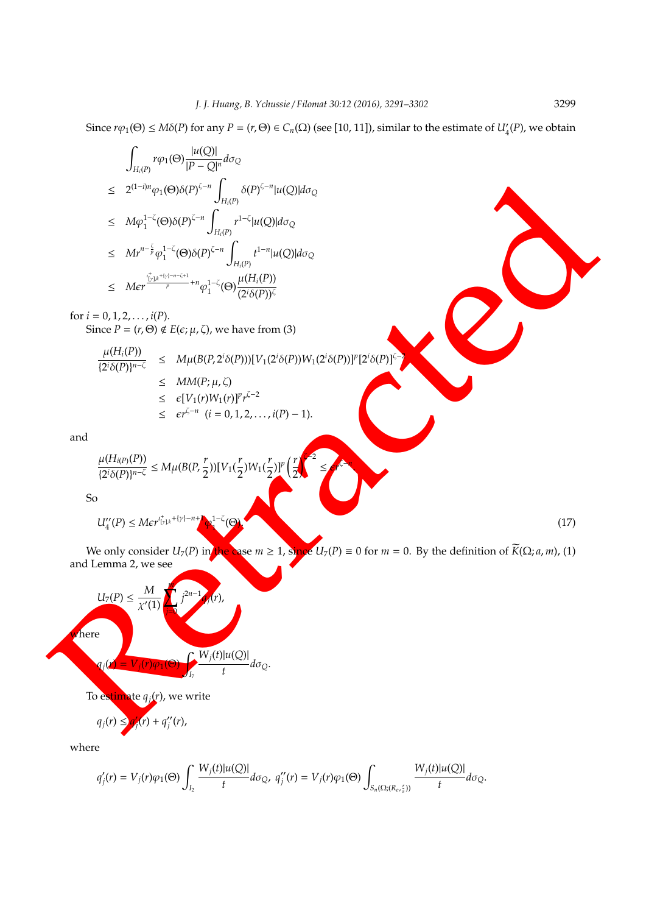Since  $r\varphi_1(\Theta) \leq M\delta(P)$  for any  $P = (r, \Theta) \in C_n(\Omega)$  (see [10, 11]), similar to the estimate of  $U'_4(P)$ , we obtain

$$
\begin{array}{lcl} & \displaystyle\int_{H_i(P)} r\varphi_1(\Theta)\frac{|u(Q)|}{|P-Q|^n}d\sigma_Q\\ \leq & \displaystyle 2^{(1-i)n}\varphi_1(\Theta)\delta(P)^{\zeta-n}\int_{H_i(P)} \delta(P)^{\zeta-n}|u(Q)|d\sigma_Q\\ \leq & \displaystyle M\varphi_1^{1-\zeta}(\Theta)\delta(P)^{\zeta-n}\int_{H_i(P)} r^{1-\zeta}|u(Q)|d\sigma_Q\\ \leq & \displaystyle M r^{n-\frac{\zeta}{p}}\varphi_1^{1-\zeta}(\Theta)\delta(P)^{\zeta-n}\int_{H_i(P)} t^{1-n}|u(Q)|d\sigma_Q\\ \leq & \displaystyle M\epsilon r^{\frac{\iota_{1}^+}{1\gamma}k^{+(y)-n-\zeta+1}}+n\varphi_1^{1-\zeta}(\Theta)\frac{\mu(H_i(P))}{(2^i\delta(P))^{\zeta}} \end{array}
$$

for  $i = 0, 1, 2, \ldots, i(P)$ . Since  $P = (r, \Theta) \notin E(\epsilon; \mu, \zeta)$ , we have from (3)

 $\mu(H_i(P))$ 

$$
\frac{\mu(H_{i}(P))}{\{2^{i}\delta(P)\}^{n-\zeta}} \leq M\mu(B(P, 2^{i}\delta(P))) [V_{1}(2^{i}\delta(P))W_{1}(2^{i}\delta(P))]^{n} [2^{i}\delta(P)]^{\zeta-2}
$$
\n
$$
\leq MM(P; \mu, \zeta)
$$
\n
$$
\leq \epsilon[V_{1}(r)W_{1}(r)]^{p}r^{\zeta-2}
$$
\n
$$
\leq \epsilon r^{\zeta-n} \quad (i = 0, 1, 2, ..., i(P) - 1).
$$

and

$$
\frac{\mu(H_{i(P)}(P))}{\{2^i \delta(P)\}^{n-\zeta}} \le M \mu(B(P, \frac{r}{2})) [V_1(\frac{r}{2}) W_1(\frac{r}{2})]^p \left(\frac{r}{2}\right)^{\zeta}
$$

So

$$
U_4^{\prime\prime}(P) \leq M \epsilon r^{t_{\left[\gamma\right],k}^+ \dagger \left[\gamma\right] - n + 1} \Phi_4^{1-\zeta}(\Theta) \tag{17}
$$

We only consider  $U_7(P)$  in the case  $m \ge 1$ , since  $U_7(P) \equiv 0$  for  $m = 0$ . By the definition of  $\widetilde{K}(\Omega; a, m)$ , (1) and Lemma 2, we see

≤ *r* ζ−*n* .

$$
\leq 2^{(1-j)n} \varphi_1(\Theta)(b) (P)^{z-n} \int_{H_1(P)}^{H_2(P_1)} b(P)^{z-n} |u(Q)| d\sigma_Q
$$
\n
$$
\leq M_1 P^{-1} \varphi_1^{1-z} (\Theta)(P)^{z-n} \int_{H_1(P)}^{H_2(P_1)} H_1(Q) |d\sigma_Q
$$
\n
$$
\leq M_2 P^{-1} \varphi_1^{1-z} (\Theta)(P)^{z-n} \int_{H_1(P)}^{H_2(P_1)} H_2(P_2) |d\sigma_Q
$$
\n
$$
\leq M_2 P^{-1} \frac{P^{-1} \varphi_1^{1-z} (\Theta)(P)^{z-n}}{Z} \int_{H_1(P)}^{H_1(P_1(P))} \frac{1}{(2\delta(P))^k}
$$
\nfor  $i = 0, 1, 2, ..., i(P)$ .  
\nSince  $P = (r, \Theta) \notin E(\varepsilon, \mu, \zeta)$ , we have from (3)\n
$$
\frac{\mu(H_1(P))}{(2\delta(P))^{n-z}} \leq M\mu(B(P, 2^{\delta}(P)))[V_1(2^{\delta}(P))]W_1(2^{\delta}(P))]^p [2^{\delta}(P)]^p
$$
\n
$$
\leq e^{r^{z-n}} (i = 0, 1, 2, ..., i(P) - 1).
$$
\nand\n
$$
\frac{\mu(H_3(\rho(P))}{2^{\delta}(P))^{n-z}} \leq M\mu(B(P, \frac{r}{2})) [V_1(\frac{r}{2})]W_1(\frac{r}{2})]^p \left(\frac{r}{2}\right)^p
$$
\nSo\n
$$
U_4'(P) \leq M e^{r^{2}(\beta+\beta+\beta+\gamma)} \sum_{i=1}^{n} \frac{r}{(\beta-\beta)^{2}} \int_{\gamma}^{r} \frac{1}{\gamma} \int_{\gamma}^{r} P^{(i)} \int_{\gamma}^{r} \frac{1}{\gamma} \int_{\gamma}^{r} P^{(i)} \int_{\gamma}^{r} \frac{1}{\gamma} \int_{\gamma}^{r} P^{(i)} \int_{\gamma}^{r} P^{(i)} \int_{\gamma}^{r} P^{(i)} \int_{\gamma}^{r} P^{(i)} \int_{\gamma}^{r} P^{(i)} \int_{\gamma}^{r} P^{(i)} \int_{\gamma}^{r
$$

$$
q_j(r) \leq q'_j(r) + q''_j(r),
$$

where

$$
q_j'(r)=V_j(r)\varphi_1(\Theta)\int_{I_2}\frac{W_j(t)|u(Q)|}{t}d\sigma_Q,\ q_j''(r)=V_j(r)\varphi_1(\Theta)\int_{S_n(\Omega;(R_e,\frac{r}{s}))}\frac{W_j(t)|u(Q)|}{t}d\sigma_Q.
$$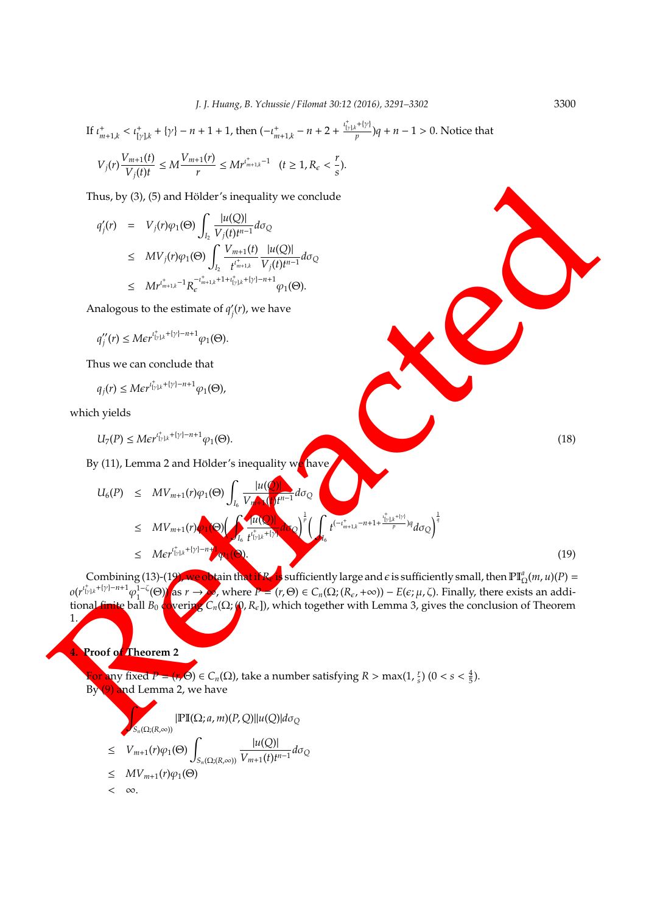If 
$$
t_{m+1,k}^+ < t_{[y]k}^+ + \{y\} - n + 1 + 1
$$
, then  $\left(-t_{m+1,k}^+ - n + 2 + \frac{t_{[y]k}^+ + \{y\}}{p}\right)q + n - 1 > 0$ . Notice that  

$$
V_j(r)\frac{V_{m+1}(t)}{V_j(t)t} \le M\frac{V_{m+1}(r)}{r} \le M r^{\frac{1}{r_{m+1,k}} - 1} \quad (t \ge 1, R_{\epsilon} < \frac{r}{s}).
$$

Thus, by  $(3)$ ,  $(5)$  and Hölder's inequality we conclude

$$
\begin{array}{lcl} q_j'(r) & = & V_j(r) \varphi_1(\Theta) \displaystyle\int_{I_2} \frac{|u(Q)|}{V_j(t)t^{n-1}} d\sigma_Q \\ \\ & \leq & MV_j(r) \varphi_1(\Theta) \displaystyle\int_{I_2} \frac{V_{m+1}(t)}{t^{t^*_{m+1,k}}} \frac{|u(Q)|}{V_j(t)t^{n-1}} d\sigma_Q \\ \\ & \leq &M r^{t^*_{m+1,k}-1} R_{\epsilon}^{-t^*_{m+1,k}+1+t^*_{[y]k}+[y]-n+1} \varphi_1(\Theta). \end{array}
$$

Analogous to the estimate of  $q_i'$ *j* (*r*), we have

$$
q_j''(r)\leq M\varepsilon r^{t_{\lfloor\gamma\rfloor,k}^++\{\gamma\}-n+1}\varphi_1(\Theta).
$$

Thus we can conclude that

$$
q_j(r)\leq M \epsilon r^{ \iota_{[\gamma]\!,k}^+ +[\gamma]-n+1} \varphi_1(\Theta),
$$

which yields

$$
U_7(P) \leq Mer^{t_{\lfloor r\rfloor,k}^+ + \lfloor r\rfloor - n + 1} \varphi_1(\Theta). \tag{18}
$$

By (11), Lemma 2 and Hölder's inequality we have

Thus, by (3), (5) and Hölder's inequality we conclude  
\n
$$
q'_{j}(r) = V_{j}(r)\varphi_{1}(\Theta) \int_{\xi_{\xi}} \frac{|u(Q)|}{V_{j}(t)^{n-1}} d\sigma_{Q}
$$
\n
$$
\leq MV_{j}(r)\varphi_{1}(\Theta) \int_{\xi_{\xi}} \frac{V_{m+1}(t)}{V_{j}(t)^{n-1}} \frac{|u(Q)|}{d\sigma_{Q}}
$$
\n
$$
\leq Mr'^{T_{m+1}x-1}R_{\xi_{\xi}}^{-T_{m+1}x+1}P_{\xi_{\xi_{\xi}}}(r), \text{ we have}
$$
\n
$$
q''_{j}(r) \leq Mer'^{T_{j}x+1}y^{1-\eta+1} \varphi_{1}(\Theta).
$$
\nThus we can conclude that  
\n
$$
q_{j}(r) \leq Mcr'^{T_{j}x+1}y^{1-\eta+1} \varphi_{1}(\Theta).
$$
\nwhich yields  
\n
$$
U_{\tau}(P) \leq Mcr'^{T_{j}x+1}y^{1-\eta+1} \varphi_{1}(\Theta).
$$
\nBy (11), Lemma 2 and Hölder's inequality **w** have  
\n
$$
U_{6}(P) \leq MV_{m+1}(r)\varphi_{1}(\Theta) \int_{I_{6}} \frac{|u(Q)|}{V_{6}} e^{-1} d\sigma_{Q}
$$
\n
$$
\leq Mcr'^{T_{j}x+1}y^{1-\eta+1} \varphi_{1}(\Theta).
$$
\n(18)  
\n
$$
U_{7}(P) \leq Mcr'^{T_{j}x+1}y^{1-\eta+1} \varphi_{1}(\Theta).
$$
\n(19)  
\nCombining (13) - (19)  
\n
$$
C(r'^{T_{j}x+1}y^{1-\eta+1} \varphi_{1}^{-1}(\Theta)) \leq r
$$
, where  $P = \{r, (r, \Theta) \in C_{r}( \Omega; (R_{c}, r \infty)) - E(\epsilon_{\xi} \mu, \Theta_{r})$ . Finally, there exists an addition to the  
\n
$$
T_{1}(\sigma) \leq C_{r}(\Omega; R_{c}), \text{ which together with Lemma 3, gives the conclusion of Theorem}
$$
\n10  
\nProof of theorem 2  
\n
$$
\sum_{S \subseteq C_{r}(\Omega; \infty)} \mathbb
$$

Combining (13)-(19), we obtain that if  $R_{\epsilon}$  is sufficiently large and  $\epsilon$  is sufficiently small, then  $\mathbb{PI}_{\Omega}^a(m,u)(P) =$  $o(r^{l_{\{y\},k}^+ + \{y\}-n+1} \varphi_1^{1-\zeta})$  $\lim_{\Omega \to 0} \int \mathbf{a} \, \mathbf{s} \, r \to \infty$ , where  $P = (r, \Theta) \in C_n(\Omega; (R_\epsilon, +\infty)) - E(\epsilon; \mu, \zeta)$ . Finally, there exists an additional finite ball  $B_0$  covering  $C_n(\Omega; \omega, R_{\epsilon})$ , which together with Lemma 3, gives the conclusion of Theorem 1.

**4. Proof of Theorem 2**

For any fixed  $P = (r, \Theta) \in C_n(\Omega)$ , take a number satisfying  $R > \max(1, \frac{r}{s})$   $(0 < s < \frac{4}{5})$ . By (9) and Lemma 2, we have

$$
\int_{S_n(\Omega; (R,\infty))} |\mathbb{PI}(\Omega; a, m)(P, Q)||u(Q)| d\sigma_Q
$$
\n
$$
\leq V_{m+1}(r)\varphi_1(\Theta) \int_{S_n(\Omega; (R,\infty))} \frac{|u(Q)|}{V_{m+1}(t)t^{n-1}} d\sigma_Q
$$
\n
$$
\leq MV_{m+1}(r)\varphi_1(\Theta)
$$
\n
$$
\infty.
$$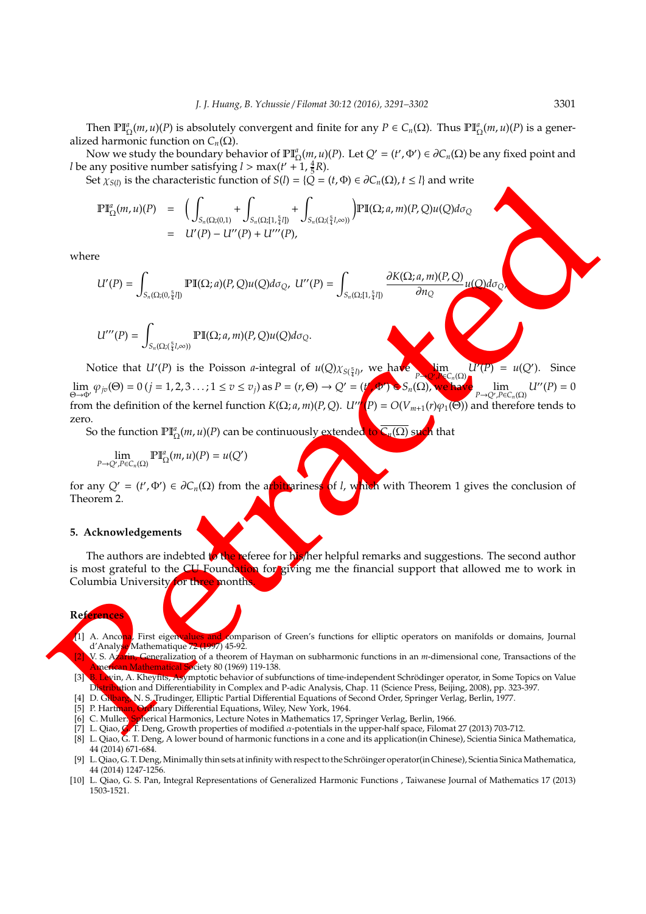Then  $\mathbb{PI}_{\Omega}^a(m, u)(P)$  is absolutely convergent and finite for any  $P \in C_n(\Omega)$ . Thus  $\mathbb{PI}_{\Omega}^a(m, u)(P)$  is a generalized harmonic function on  $C_n(\Omega)$ .

Now we study the boundary behavior of  $\mathbb{PI}_{\Omega}^a(m, u)(P)$ . Let  $Q' = (t', \Phi') \in \partial C_n(\Omega)$  be any fixed point and *l* be any positive number satisfying  $l > \max(t' + 1, \frac{4}{5}R)$ .

Set  $\chi_{S(l)}$  is the characteristic function of  $S(l) = \{ \check{Q} = (t, \Phi) \in \partial C_n(\Omega), t \leq l \}$  and write

$$
\begin{array}{rcl}\n\mathbb{P}\mathbb{I}_{\Omega}^{a}(m,u)(P) & = & \bigg(\int_{S_{n}(\Omega;(0,1)} + \int_{S_{n}(\Omega;[1,\frac{5}{4}I])} + \int_{S_{n}(\Omega;(\frac{5}{4}I,\infty))}\bigg) \mathbb{P}\mathbb{I}(\Omega;a,m)(P,Q)u(Q)d\sigma_{Q} \\
& = & U'(P) - U''(P) + U'''(P),\n\end{array}
$$

where

$$
U'(P) = \int_{S_n(\Omega;(0,\frac{5}{4}I])} \mathbb{P}\mathbb{I}(\Omega;a)(P,Q)u(Q)d\sigma_{Q}, \ U''(P) = \int_{S_n(\Omega;[1,\frac{5}{4}I])} \frac{\partial K(\Omega;a,m)(P,Q)}{\partial n_Q}
$$

$$
U'''(P) = \int_{S_n(\Omega;(\frac{5}{4}l,\infty))} \mathbb{PI}(\Omega;a,m)(P,Q)u(Q)d\sigma_Q.
$$

Set  $x_{(0)}$  is the characteristic function of  $S(t) = |U - (t, 0) \in \mathcal{F}_{\alpha}(X_1)$ .  $S = \prod_{n \neq 0} P'(t, 0, n) |V| \geq \sum_{n \neq 0} P'(t, 0, n) |V| \geq \sum_{n \neq 0} P'(t, 0, n) |V| \geq \sum_{n \neq 0} P'(t, 0, n) |V| \geq \sum_{n \neq 0} P'(t, 0, n) |V| \geq \sum_{n \neq 0} P'(t,$ Notice that *U'*(*P*) is the Poisson *a*-integral of  $u(Q)\chi_{S(\frac{5}{4}l)}$ , we have limit 4 *P*→*Q*<sup>0</sup> ,*P*∈*Cn*(Ω)  $U'(P) = u(Q')$ . Since  $\lim_{\Theta \to \Phi'} \varphi_{jv}(\Theta) = 0$  (*j* = 1, 2, 3 . . . ; 1  $\le v \le v_j$ ) as  $P = (r, \Theta) \to Q' = (t')$  $(\Phi') \in S_n(\Omega)$ , we have lim *P*→*Q*<sup>0</sup> ,*P*∈*Cn*(Ω)  $U''(P) = 0$ from the definition of the kernel function  $K(\Omega; a, m)(P, Q)$ .  $U''(P) = O(V_{m+1}(r)\varphi_1(\Theta))$  and therefore tends to zero.

So the function PI*<sup>a</sup>* Ω (*m*, *u*)(*P*) can be continuously extended to *Cn*(Ω) such that

$$
\lim_{P\to Q',P\in C_n(\Omega)}\mathbb{PI}^a_\Omega(m,u)(P)=u(Q')
$$

for any  $Q' = (t', \Phi') \in \partial C_n(\Omega)$  from the arbitrariness of *l*, which with Theorem 1 gives the conclusion of Theorem 2.

#### **5. Acknowledgements**

The authors are indebted to the referee for his/her helpful remarks and suggestions. The second author is most grateful to the CU Foundation for giving me the financial support that allowed me to work in Columbia University for three month

## **References**

[1] A. Ancona, First eigenvalues and comparison of Green's functions for elliptic operators on manifolds or domains, Journal d'Analyse Mathematique 72 (1997) 45-92.

- V. S. Azarin, Generalization of a theorem of Hayman on subharmonic functions in an *m*-dimensional cone, Transactions of the merican Mathematical Society 80 (1969) 119-138.
- [3] B. Levin, A. Kheyfits, Asymptotic behavior of subfunctions of time-independent Schrödinger operator, in Some Topics on Value Distribution and Differentiability in Complex and P-adic Analysis, Chap. 11 (Science Press, Beijing, 2008), pp. 323-397.
- [4] D. Gilbarg, N. S. Trudinger, Elliptic Partial Differential Equations of Second Order, Springer Verlag, Berlin, 1977.
- [5] P. Hartman, Ordinary Differential Equations, Wiley, New York, 1964.
- [6] C. Muller: Spherical Harmonics, Lecture Notes in Mathematics 17, Springer Verlag, Berlin, 1966.
- [7] L. Qiao, G. T. Deng, Growth properties of modified  $\alpha$ -potentials in the upper-half space, Filomat 27 (2013) 703-712.
- [8] L. Qiao, G. T. Deng, A lower bound of harmonic functions in a cone and its application(in Chinese), Scientia Sinica Mathematica, 44 (2014) 671-684.
- [9] L. Qiao, G. T. Deng, Minimally thin sets at infinity with respect to the Schroinger operator(in Chinese), Scientia SinicaMathematica, ¨ 44 (2014) 1247-1256.
- [10] L. Qiao, G. S. Pan, Integral Representations of Generalized Harmonic Functions , Taiwanese Journal of Mathematics 17 (2013) 1503-1521.

 $\frac{d}{d}u(Q)d\sigma$